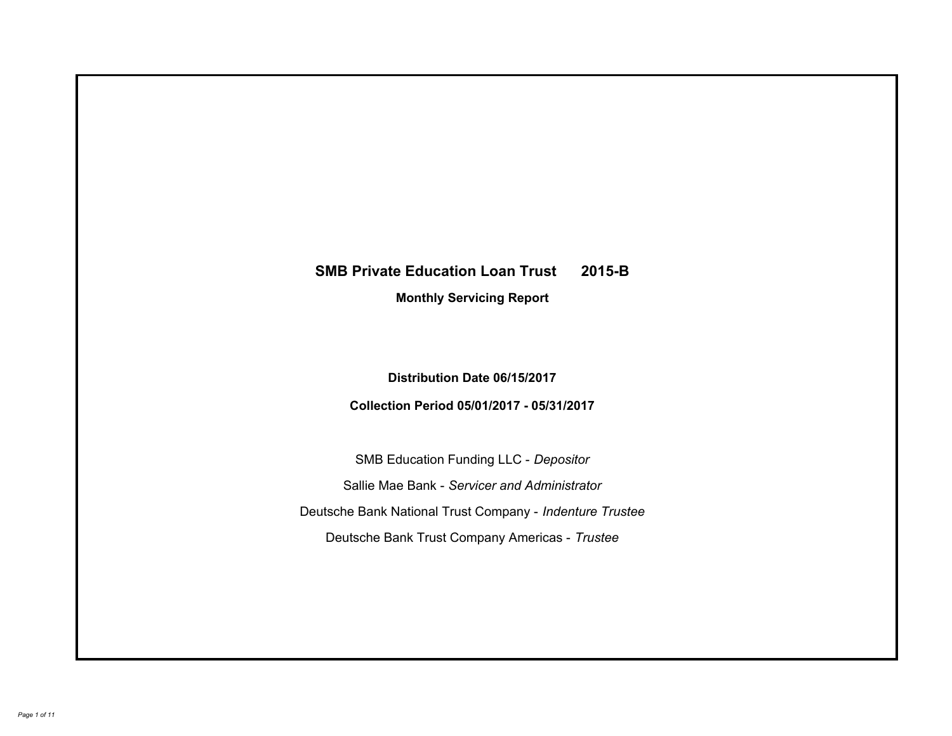# **SMB Private Education Loan Trust 2015-B Monthly Servicing Report**

**Distribution Date 06/15/2017**

**Collection Period 05/01/2017 - 05/31/2017**

SMB Education Funding LLC - *Depositor* Sallie Mae Bank - *Servicer and Administrator* Deutsche Bank National Trust Company - *Indenture Trustee* Deutsche Bank Trust Company Americas - *Trustee*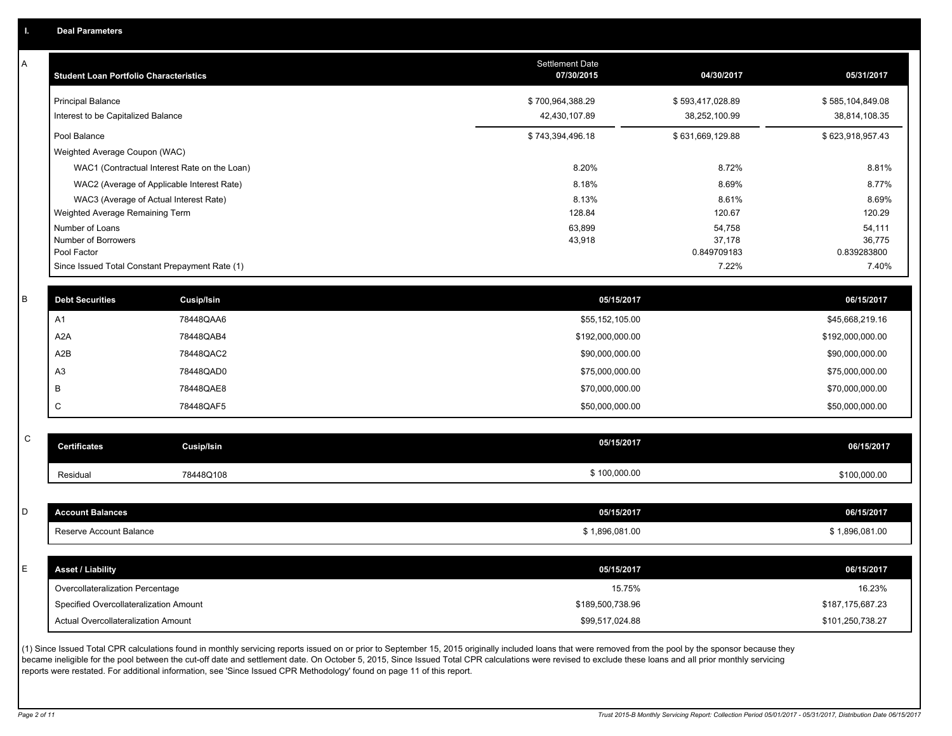A

| A           | <b>Student Loan Portfolio Characteristics</b>   |                                              | <b>Settlement Date</b><br>07/30/2015 | 04/30/2017            | 05/31/2017            |
|-------------|-------------------------------------------------|----------------------------------------------|--------------------------------------|-----------------------|-----------------------|
|             | <b>Principal Balance</b>                        |                                              | \$700,964,388.29                     | \$593,417,028.89      | \$585,104,849.08      |
|             | Interest to be Capitalized Balance              |                                              | 42,430,107.89                        | 38,252,100.99         | 38,814,108.35         |
|             | Pool Balance                                    |                                              | \$743,394,496.18                     | \$631,669,129.88      | \$623,918,957.43      |
|             | Weighted Average Coupon (WAC)                   |                                              |                                      |                       |                       |
|             |                                                 | WAC1 (Contractual Interest Rate on the Loan) | 8.20%                                | 8.72%                 | 8.81%                 |
|             |                                                 | WAC2 (Average of Applicable Interest Rate)   | 8.18%                                | 8.69%                 | 8.77%                 |
|             | WAC3 (Average of Actual Interest Rate)          |                                              | 8.13%                                | 8.61%                 | 8.69%                 |
|             | Weighted Average Remaining Term                 |                                              | 128.84                               | 120.67                | 120.29                |
|             | Number of Loans                                 |                                              | 63,899                               | 54,758                | 54,111                |
|             | Number of Borrowers<br>Pool Factor              |                                              | 43,918                               | 37,178<br>0.849709183 | 36,775<br>0.839283800 |
|             | Since Issued Total Constant Prepayment Rate (1) |                                              |                                      | 7.22%                 | 7.40%                 |
|             |                                                 |                                              |                                      |                       |                       |
| B           | <b>Debt Securities</b>                          | Cusip/Isin                                   | 05/15/2017                           |                       | 06/15/2017            |
|             | A1                                              | 78448QAA6                                    | \$55,152,105.00                      |                       | \$45,668,219.16       |
|             | A2A                                             | 78448QAB4                                    | \$192,000,000.00                     |                       | \$192,000,000.00      |
|             | A <sub>2</sub> B                                | 78448QAC2                                    | \$90,000,000.00                      |                       | \$90,000,000.00       |
|             | A <sub>3</sub>                                  | 78448QAD0                                    | \$75,000,000.00                      |                       | \$75,000,000.00       |
|             | B                                               | 78448QAE8                                    | \$70,000,000.00                      |                       | \$70,000,000.00       |
|             | C                                               | 78448QAF5                                    | \$50,000,000.00                      |                       | \$50,000,000.00       |
|             |                                                 |                                              |                                      |                       |                       |
| $\mathsf C$ | <b>Certificates</b>                             | Cusip/Isin                                   | 05/15/2017                           |                       | 06/15/2017            |
|             |                                                 |                                              |                                      |                       |                       |
|             | Residual                                        | 78448Q108                                    | \$100,000.00                         |                       | \$100,000.00          |
|             |                                                 |                                              |                                      |                       |                       |
| D           | <b>Account Balances</b>                         |                                              | 05/15/2017                           |                       | 06/15/2017            |
|             | <b>Reserve Account Balance</b>                  |                                              | \$1,896,081.00                       |                       | \$1,896,081.00        |
|             |                                                 |                                              |                                      |                       |                       |
| E           | <b>Asset / Liability</b>                        |                                              | 05/15/2017                           |                       | 06/15/2017            |
|             | Overcollateralization Percentage                |                                              | 15.75%                               |                       | 16.23%                |
|             | Specified Overcollateralization Amount          |                                              | \$189,500,738.96                     |                       | \$187,175,687.23      |
|             | Actual Overcollateralization Amount             |                                              | \$99,517,024.88                      |                       | \$101,250,738.27      |
|             |                                                 |                                              |                                      |                       |                       |

(1) Since Issued Total CPR calculations found in monthly servicing reports issued on or prior to September 15, 2015 originally included loans that were removed from the pool by the sponsor because they became ineligible for the pool between the cut-off date and settlement date. On October 5, 2015, Since Issued Total CPR calculations were revised to exclude these loans and all prior monthly servicing reports were restated. For additional information, see 'Since Issued CPR Methodology' found on page 11 of this report.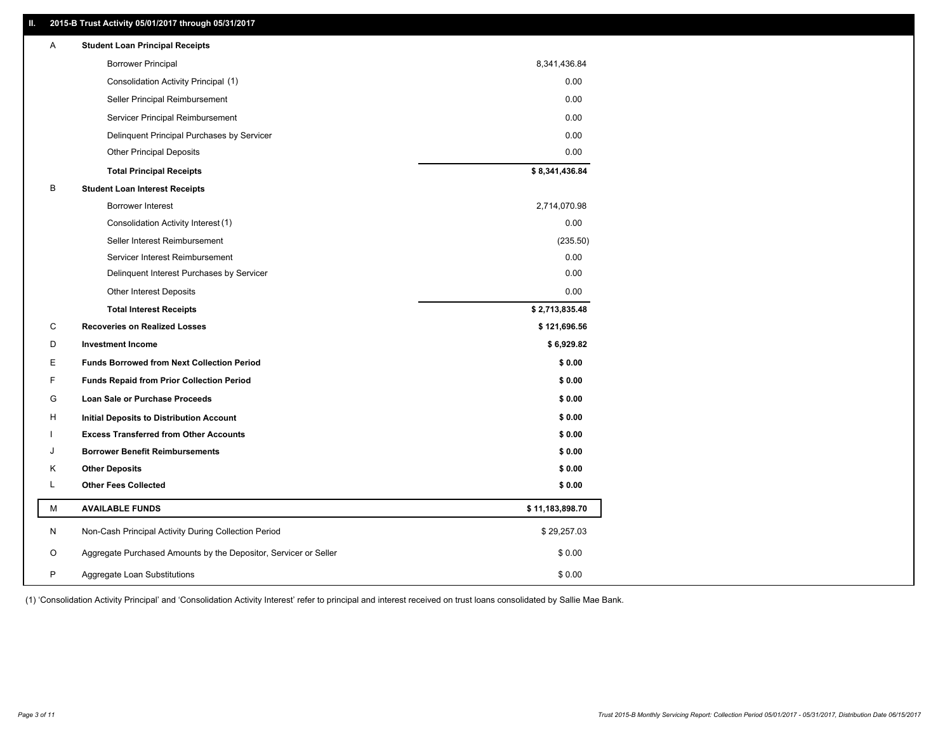## **II. 2015-B Trust Activity 05/01/2017 through 05/31/2017**

| <b>Borrower Principal</b><br>8,341,436.84<br>0.00<br>Consolidation Activity Principal (1)<br>0.00<br>Seller Principal Reimbursement<br>0.00<br>Servicer Principal Reimbursement<br>0.00<br>Delinquent Principal Purchases by Servicer<br>0.00<br><b>Other Principal Deposits</b><br>\$8,341,436.84<br><b>Total Principal Receipts</b><br>В<br><b>Student Loan Interest Receipts</b><br>2,714,070.98<br>Borrower Interest<br>Consolidation Activity Interest (1)<br>0.00<br>Seller Interest Reimbursement<br>(235.50)<br>0.00<br>Servicer Interest Reimbursement<br>0.00<br>Delinquent Interest Purchases by Servicer<br>0.00<br>Other Interest Deposits<br>\$2,713,835.48<br><b>Total Interest Receipts</b><br>С<br><b>Recoveries on Realized Losses</b><br>\$121,696.56<br>\$6,929.82<br>D<br><b>Investment Income</b><br>Е<br>\$0.00<br><b>Funds Borrowed from Next Collection Period</b><br>F<br>\$0.00<br><b>Funds Repaid from Prior Collection Period</b><br>\$0.00<br>G<br>Loan Sale or Purchase Proceeds<br>\$0.00<br>н<br>Initial Deposits to Distribution Account<br>\$0.00<br><b>Excess Transferred from Other Accounts</b><br>\$0.00<br><b>Borrower Benefit Reimbursements</b><br>J<br>κ<br><b>Other Deposits</b><br>\$0.00<br><b>Other Fees Collected</b><br>\$0.00<br>L.<br>М<br><b>AVAILABLE FUNDS</b><br>\$11,183,898.70<br>N<br>Non-Cash Principal Activity During Collection Period<br>\$29,257.03<br>O<br>Aggregate Purchased Amounts by the Depositor, Servicer or Seller<br>\$0.00<br>P<br>\$0.00<br>Aggregate Loan Substitutions | Α | <b>Student Loan Principal Receipts</b> |  |
|-------------------------------------------------------------------------------------------------------------------------------------------------------------------------------------------------------------------------------------------------------------------------------------------------------------------------------------------------------------------------------------------------------------------------------------------------------------------------------------------------------------------------------------------------------------------------------------------------------------------------------------------------------------------------------------------------------------------------------------------------------------------------------------------------------------------------------------------------------------------------------------------------------------------------------------------------------------------------------------------------------------------------------------------------------------------------------------------------------------------------------------------------------------------------------------------------------------------------------------------------------------------------------------------------------------------------------------------------------------------------------------------------------------------------------------------------------------------------------------------------------------------------------------------------------|---|----------------------------------------|--|
|                                                                                                                                                                                                                                                                                                                                                                                                                                                                                                                                                                                                                                                                                                                                                                                                                                                                                                                                                                                                                                                                                                                                                                                                                                                                                                                                                                                                                                                                                                                                                       |   |                                        |  |
|                                                                                                                                                                                                                                                                                                                                                                                                                                                                                                                                                                                                                                                                                                                                                                                                                                                                                                                                                                                                                                                                                                                                                                                                                                                                                                                                                                                                                                                                                                                                                       |   |                                        |  |
|                                                                                                                                                                                                                                                                                                                                                                                                                                                                                                                                                                                                                                                                                                                                                                                                                                                                                                                                                                                                                                                                                                                                                                                                                                                                                                                                                                                                                                                                                                                                                       |   |                                        |  |
|                                                                                                                                                                                                                                                                                                                                                                                                                                                                                                                                                                                                                                                                                                                                                                                                                                                                                                                                                                                                                                                                                                                                                                                                                                                                                                                                                                                                                                                                                                                                                       |   |                                        |  |
|                                                                                                                                                                                                                                                                                                                                                                                                                                                                                                                                                                                                                                                                                                                                                                                                                                                                                                                                                                                                                                                                                                                                                                                                                                                                                                                                                                                                                                                                                                                                                       |   |                                        |  |
|                                                                                                                                                                                                                                                                                                                                                                                                                                                                                                                                                                                                                                                                                                                                                                                                                                                                                                                                                                                                                                                                                                                                                                                                                                                                                                                                                                                                                                                                                                                                                       |   |                                        |  |
|                                                                                                                                                                                                                                                                                                                                                                                                                                                                                                                                                                                                                                                                                                                                                                                                                                                                                                                                                                                                                                                                                                                                                                                                                                                                                                                                                                                                                                                                                                                                                       |   |                                        |  |
|                                                                                                                                                                                                                                                                                                                                                                                                                                                                                                                                                                                                                                                                                                                                                                                                                                                                                                                                                                                                                                                                                                                                                                                                                                                                                                                                                                                                                                                                                                                                                       |   |                                        |  |
|                                                                                                                                                                                                                                                                                                                                                                                                                                                                                                                                                                                                                                                                                                                                                                                                                                                                                                                                                                                                                                                                                                                                                                                                                                                                                                                                                                                                                                                                                                                                                       |   |                                        |  |
|                                                                                                                                                                                                                                                                                                                                                                                                                                                                                                                                                                                                                                                                                                                                                                                                                                                                                                                                                                                                                                                                                                                                                                                                                                                                                                                                                                                                                                                                                                                                                       |   |                                        |  |
|                                                                                                                                                                                                                                                                                                                                                                                                                                                                                                                                                                                                                                                                                                                                                                                                                                                                                                                                                                                                                                                                                                                                                                                                                                                                                                                                                                                                                                                                                                                                                       |   |                                        |  |
|                                                                                                                                                                                                                                                                                                                                                                                                                                                                                                                                                                                                                                                                                                                                                                                                                                                                                                                                                                                                                                                                                                                                                                                                                                                                                                                                                                                                                                                                                                                                                       |   |                                        |  |
|                                                                                                                                                                                                                                                                                                                                                                                                                                                                                                                                                                                                                                                                                                                                                                                                                                                                                                                                                                                                                                                                                                                                                                                                                                                                                                                                                                                                                                                                                                                                                       |   |                                        |  |
|                                                                                                                                                                                                                                                                                                                                                                                                                                                                                                                                                                                                                                                                                                                                                                                                                                                                                                                                                                                                                                                                                                                                                                                                                                                                                                                                                                                                                                                                                                                                                       |   |                                        |  |
|                                                                                                                                                                                                                                                                                                                                                                                                                                                                                                                                                                                                                                                                                                                                                                                                                                                                                                                                                                                                                                                                                                                                                                                                                                                                                                                                                                                                                                                                                                                                                       |   |                                        |  |
|                                                                                                                                                                                                                                                                                                                                                                                                                                                                                                                                                                                                                                                                                                                                                                                                                                                                                                                                                                                                                                                                                                                                                                                                                                                                                                                                                                                                                                                                                                                                                       |   |                                        |  |
|                                                                                                                                                                                                                                                                                                                                                                                                                                                                                                                                                                                                                                                                                                                                                                                                                                                                                                                                                                                                                                                                                                                                                                                                                                                                                                                                                                                                                                                                                                                                                       |   |                                        |  |
|                                                                                                                                                                                                                                                                                                                                                                                                                                                                                                                                                                                                                                                                                                                                                                                                                                                                                                                                                                                                                                                                                                                                                                                                                                                                                                                                                                                                                                                                                                                                                       |   |                                        |  |
|                                                                                                                                                                                                                                                                                                                                                                                                                                                                                                                                                                                                                                                                                                                                                                                                                                                                                                                                                                                                                                                                                                                                                                                                                                                                                                                                                                                                                                                                                                                                                       |   |                                        |  |
|                                                                                                                                                                                                                                                                                                                                                                                                                                                                                                                                                                                                                                                                                                                                                                                                                                                                                                                                                                                                                                                                                                                                                                                                                                                                                                                                                                                                                                                                                                                                                       |   |                                        |  |
|                                                                                                                                                                                                                                                                                                                                                                                                                                                                                                                                                                                                                                                                                                                                                                                                                                                                                                                                                                                                                                                                                                                                                                                                                                                                                                                                                                                                                                                                                                                                                       |   |                                        |  |
|                                                                                                                                                                                                                                                                                                                                                                                                                                                                                                                                                                                                                                                                                                                                                                                                                                                                                                                                                                                                                                                                                                                                                                                                                                                                                                                                                                                                                                                                                                                                                       |   |                                        |  |
|                                                                                                                                                                                                                                                                                                                                                                                                                                                                                                                                                                                                                                                                                                                                                                                                                                                                                                                                                                                                                                                                                                                                                                                                                                                                                                                                                                                                                                                                                                                                                       |   |                                        |  |
|                                                                                                                                                                                                                                                                                                                                                                                                                                                                                                                                                                                                                                                                                                                                                                                                                                                                                                                                                                                                                                                                                                                                                                                                                                                                                                                                                                                                                                                                                                                                                       |   |                                        |  |
|                                                                                                                                                                                                                                                                                                                                                                                                                                                                                                                                                                                                                                                                                                                                                                                                                                                                                                                                                                                                                                                                                                                                                                                                                                                                                                                                                                                                                                                                                                                                                       |   |                                        |  |
|                                                                                                                                                                                                                                                                                                                                                                                                                                                                                                                                                                                                                                                                                                                                                                                                                                                                                                                                                                                                                                                                                                                                                                                                                                                                                                                                                                                                                                                                                                                                                       |   |                                        |  |
|                                                                                                                                                                                                                                                                                                                                                                                                                                                                                                                                                                                                                                                                                                                                                                                                                                                                                                                                                                                                                                                                                                                                                                                                                                                                                                                                                                                                                                                                                                                                                       |   |                                        |  |
|                                                                                                                                                                                                                                                                                                                                                                                                                                                                                                                                                                                                                                                                                                                                                                                                                                                                                                                                                                                                                                                                                                                                                                                                                                                                                                                                                                                                                                                                                                                                                       |   |                                        |  |
|                                                                                                                                                                                                                                                                                                                                                                                                                                                                                                                                                                                                                                                                                                                                                                                                                                                                                                                                                                                                                                                                                                                                                                                                                                                                                                                                                                                                                                                                                                                                                       |   |                                        |  |

(1) 'Consolidation Activity Principal' and 'Consolidation Activity Interest' refer to principal and interest received on trust loans consolidated by Sallie Mae Bank.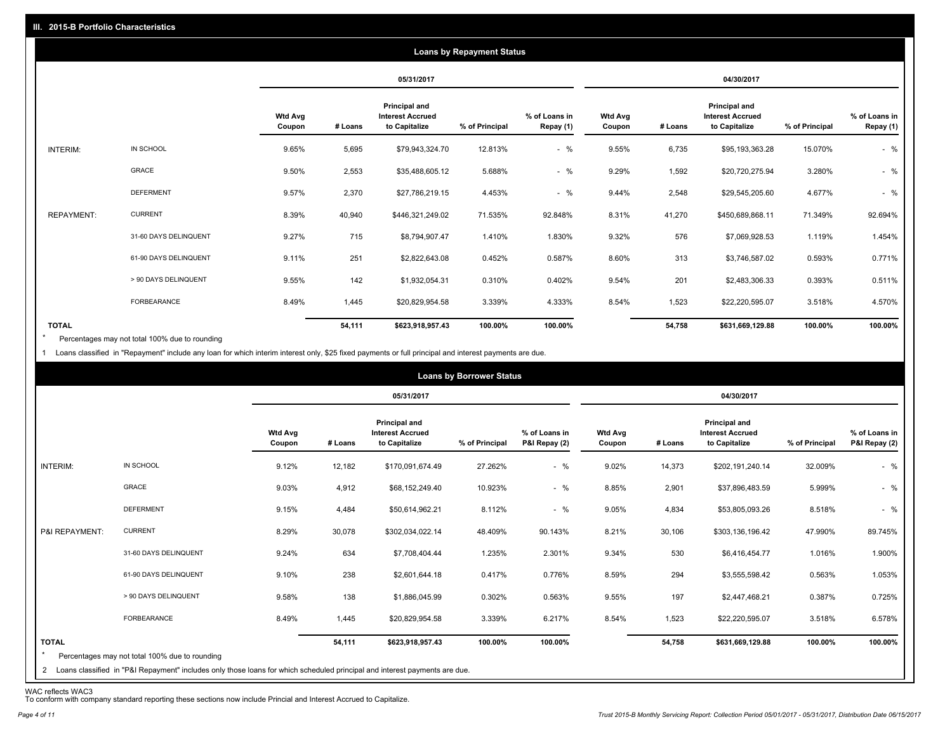|                   |                       |                          |         |                                                           | <b>Loans by Repayment Status</b> |                            |                          |         |                                                                  |                |                            |
|-------------------|-----------------------|--------------------------|---------|-----------------------------------------------------------|----------------------------------|----------------------------|--------------------------|---------|------------------------------------------------------------------|----------------|----------------------------|
|                   |                       |                          |         | 05/31/2017                                                |                                  |                            |                          |         | 04/30/2017                                                       |                |                            |
|                   |                       | <b>Wtd Avg</b><br>Coupon | # Loans | Principal and<br><b>Interest Accrued</b><br>to Capitalize | % of Principal                   | % of Loans in<br>Repay (1) | <b>Wtd Avg</b><br>Coupon | # Loans | <b>Principal and</b><br><b>Interest Accrued</b><br>to Capitalize | % of Principal | % of Loans in<br>Repay (1) |
| INTERIM:          | IN SCHOOL             | 9.65%                    | 5,695   | \$79,943,324.70                                           | 12.813%                          | $-$ %                      | 9.55%                    | 6,735   | \$95,193,363.28                                                  | 15.070%        | $-$ %                      |
|                   | GRACE                 | 9.50%                    | 2,553   | \$35,488,605.12                                           | 5.688%                           | $-$ %                      | 9.29%                    | 1,592   | \$20,720,275.94                                                  | 3.280%         | $-$ %                      |
|                   | <b>DEFERMENT</b>      | 9.57%                    | 2,370   | \$27,786,219.15                                           | 4.453%                           | $-$ %                      | 9.44%                    | 2,548   | \$29,545,205.60                                                  | 4.677%         | $-$ %                      |
| <b>REPAYMENT:</b> | <b>CURRENT</b>        | 8.39%                    | 40,940  | \$446,321,249.02                                          | 71.535%                          | 92.848%                    | 8.31%                    | 41,270  | \$450,689,868.11                                                 | 71.349%        | 92.694%                    |
|                   | 31-60 DAYS DELINQUENT | 9.27%                    | 715     | \$8,794,907.47                                            | 1.410%                           | 1.830%                     | 9.32%                    | 576     | \$7,069,928.53                                                   | 1.119%         | 1.454%                     |
|                   | 61-90 DAYS DELINQUENT | 9.11%                    | 251     | \$2,822,643.08                                            | 0.452%                           | 0.587%                     | 8.60%                    | 313     | \$3,746,587.02                                                   | 0.593%         | 0.771%                     |
|                   | > 90 DAYS DELINQUENT  | 9.55%                    | 142     | \$1,932,054.31                                            | 0.310%                           | 0.402%                     | 9.54%                    | 201     | \$2,483,306.33                                                   | 0.393%         | 0.511%                     |
|                   | <b>FORBEARANCE</b>    | 8.49%                    | 1,445   | \$20,829,954.58                                           | 3.339%                           | 4.333%                     | 8.54%                    | 1,523   | \$22,220,595.07                                                  | 3.518%         | 4.570%                     |
| <b>TOTAL</b>      |                       |                          | 54,111  | \$623,918,957.43                                          | 100.00%                          | 100.00%                    |                          | 54,758  | \$631,669,129.88                                                 | 100.00%        | 100.00%                    |

Percentages may not total 100% due to rounding \*

1 Loans classified in "Repayment" include any loan for which interim interest only, \$25 fixed payments or full principal and interest payments are due.

|                         |                                                                                                                                                                                |                          |         |                                                           | <b>Loans by Borrower Status</b> |                                |                          |         |                                                                  |                |                                |
|-------------------------|--------------------------------------------------------------------------------------------------------------------------------------------------------------------------------|--------------------------|---------|-----------------------------------------------------------|---------------------------------|--------------------------------|--------------------------|---------|------------------------------------------------------------------|----------------|--------------------------------|
|                         |                                                                                                                                                                                |                          |         | 05/31/2017                                                |                                 |                                |                          |         | 04/30/2017                                                       |                |                                |
|                         |                                                                                                                                                                                | <b>Wtd Avg</b><br>Coupon | # Loans | Principal and<br><b>Interest Accrued</b><br>to Capitalize | % of Principal                  | % of Loans in<br>P&I Repay (2) | <b>Wtd Avg</b><br>Coupon | # Loans | <b>Principal and</b><br><b>Interest Accrued</b><br>to Capitalize | % of Principal | % of Loans in<br>P&I Repay (2) |
| INTERIM:                | IN SCHOOL                                                                                                                                                                      | 9.12%                    | 12,182  | \$170,091,674.49                                          | 27.262%                         | $-$ %                          | 9.02%                    | 14,373  | \$202,191,240.14                                                 | 32.009%        | $-$ %                          |
|                         | GRACE                                                                                                                                                                          | 9.03%                    | 4,912   | \$68,152,249.40                                           | 10.923%                         | $-$ %                          | 8.85%                    | 2,901   | \$37,896,483.59                                                  | 5.999%         | $-$ %                          |
|                         | <b>DEFERMENT</b>                                                                                                                                                               | 9.15%                    | 4,484   | \$50,614,962.21                                           | 8.112%                          | $-$ %                          | 9.05%                    | 4,834   | \$53,805,093.26                                                  | 8.518%         | $-$ %                          |
| P&I REPAYMENT:          | <b>CURRENT</b>                                                                                                                                                                 | 8.29%                    | 30,078  | \$302,034,022.14                                          | 48.409%                         | 90.143%                        | 8.21%                    | 30,106  | \$303,136,196.42                                                 | 47.990%        | 89.745%                        |
|                         | 31-60 DAYS DELINQUENT                                                                                                                                                          | 9.24%                    | 634     | \$7,708,404.44                                            | 1.235%                          | 2.301%                         | 9.34%                    | 530     | \$6,416,454.77                                                   | 1.016%         | 1.900%                         |
|                         | 61-90 DAYS DELINQUENT                                                                                                                                                          | 9.10%                    | 238     | \$2,601,644.18                                            | 0.417%                          | 0.776%                         | 8.59%                    | 294     | \$3,555,598.42                                                   | 0.563%         | 1.053%                         |
|                         | > 90 DAYS DELINQUENT                                                                                                                                                           | 9.58%                    | 138     | \$1,886,045.99                                            | 0.302%                          | 0.563%                         | 9.55%                    | 197     | \$2,447,468.21                                                   | 0.387%         | 0.725%                         |
|                         | <b>FORBEARANCE</b>                                                                                                                                                             | 8.49%                    | 1,445   | \$20,829,954.58                                           | 3.339%                          | 6.217%                         | 8.54%                    | 1,523   | \$22,220,595.07                                                  | 3.518%         | 6.578%                         |
| <b>TOTAL</b><br>$\star$ | Percentages may not total 100% due to rounding<br>2 Loans classified in "P&I Repayment" includes only those loans for which scheduled principal and interest payments are due. |                          | 54,111  | \$623,918,957.43                                          | 100.00%                         | 100.00%                        |                          | 54,758  | \$631,669,129.88                                                 | 100.00%        | 100.00%                        |

WAC reflects WAC3 To conform with company standard reporting these sections now include Princial and Interest Accrued to Capitalize.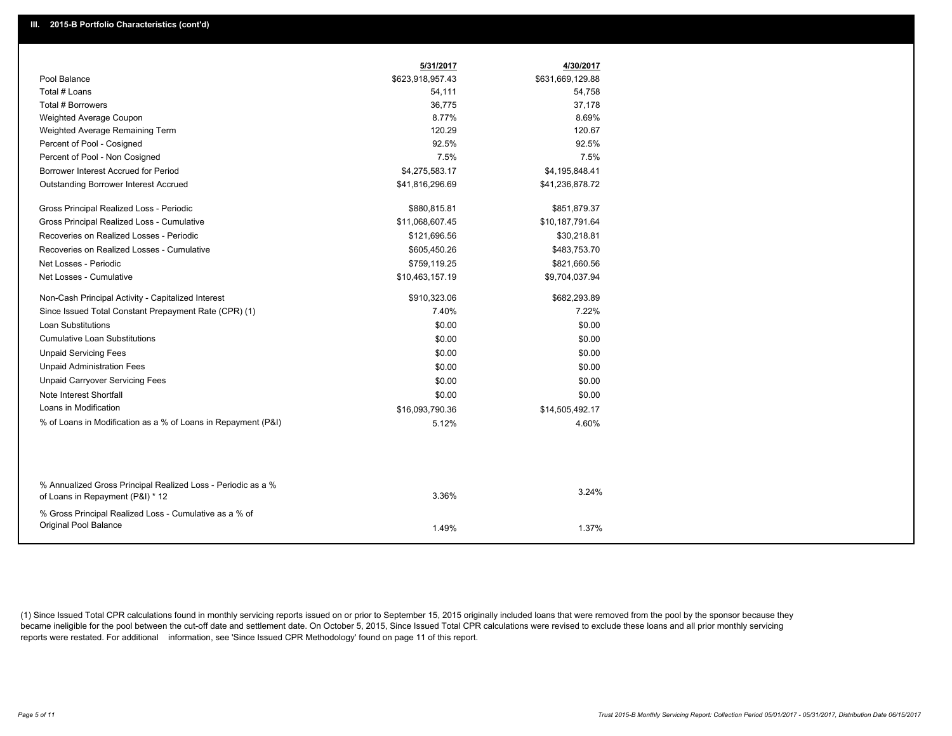|                                                                                                  | 5/31/2017        | 4/30/2017        |
|--------------------------------------------------------------------------------------------------|------------------|------------------|
| Pool Balance                                                                                     | \$623,918,957.43 | \$631,669,129.88 |
| Total # Loans                                                                                    | 54,111           | 54,758           |
| Total # Borrowers                                                                                | 36,775           | 37,178           |
| Weighted Average Coupon                                                                          | 8.77%            | 8.69%            |
| Weighted Average Remaining Term                                                                  | 120.29           | 120.67           |
| Percent of Pool - Cosigned                                                                       | 92.5%            | 92.5%            |
| Percent of Pool - Non Cosigned                                                                   | 7.5%             | 7.5%             |
| Borrower Interest Accrued for Period                                                             | \$4,275,583.17   | \$4,195,848.41   |
| Outstanding Borrower Interest Accrued                                                            | \$41,816,296.69  | \$41,236,878.72  |
| Gross Principal Realized Loss - Periodic                                                         | \$880,815.81     | \$851,879.37     |
| Gross Principal Realized Loss - Cumulative                                                       | \$11,068,607.45  | \$10,187,791.64  |
| Recoveries on Realized Losses - Periodic                                                         | \$121,696.56     | \$30,218.81      |
| Recoveries on Realized Losses - Cumulative                                                       | \$605,450.26     | \$483,753.70     |
| Net Losses - Periodic                                                                            | \$759,119.25     | \$821,660.56     |
| Net Losses - Cumulative                                                                          | \$10,463,157.19  | \$9,704,037.94   |
| Non-Cash Principal Activity - Capitalized Interest                                               | \$910,323.06     | \$682,293.89     |
| Since Issued Total Constant Prepayment Rate (CPR) (1)                                            | 7.40%            | 7.22%            |
| <b>Loan Substitutions</b>                                                                        | \$0.00           | \$0.00           |
| <b>Cumulative Loan Substitutions</b>                                                             | \$0.00           | \$0.00           |
| <b>Unpaid Servicing Fees</b>                                                                     | \$0.00           | \$0.00           |
| <b>Unpaid Administration Fees</b>                                                                | \$0.00           | \$0.00           |
| <b>Unpaid Carryover Servicing Fees</b>                                                           | \$0.00           | \$0.00           |
| Note Interest Shortfall                                                                          | \$0.00           | \$0.00           |
| Loans in Modification                                                                            | \$16,093,790.36  | \$14,505,492.17  |
| % of Loans in Modification as a % of Loans in Repayment (P&I)                                    | 5.12%            | 4.60%            |
|                                                                                                  |                  |                  |
|                                                                                                  |                  |                  |
| % Annualized Gross Principal Realized Loss - Periodic as a %<br>of Loans in Repayment (P&I) * 12 | 3.36%            | 3.24%            |
| % Gross Principal Realized Loss - Cumulative as a % of                                           |                  |                  |
| Original Pool Balance                                                                            | 1.49%            | 1.37%            |

(1) Since Issued Total CPR calculations found in monthly servicing reports issued on or prior to September 15, 2015 originally included loans that were removed from the pool by the sponsor because they became ineligible for the pool between the cut-off date and settlement date. On October 5, 2015, Since Issued Total CPR calculations were revised to exclude these loans and all prior monthly servicing reports were restated. For additional information, see 'Since Issued CPR Methodology' found on page 11 of this report.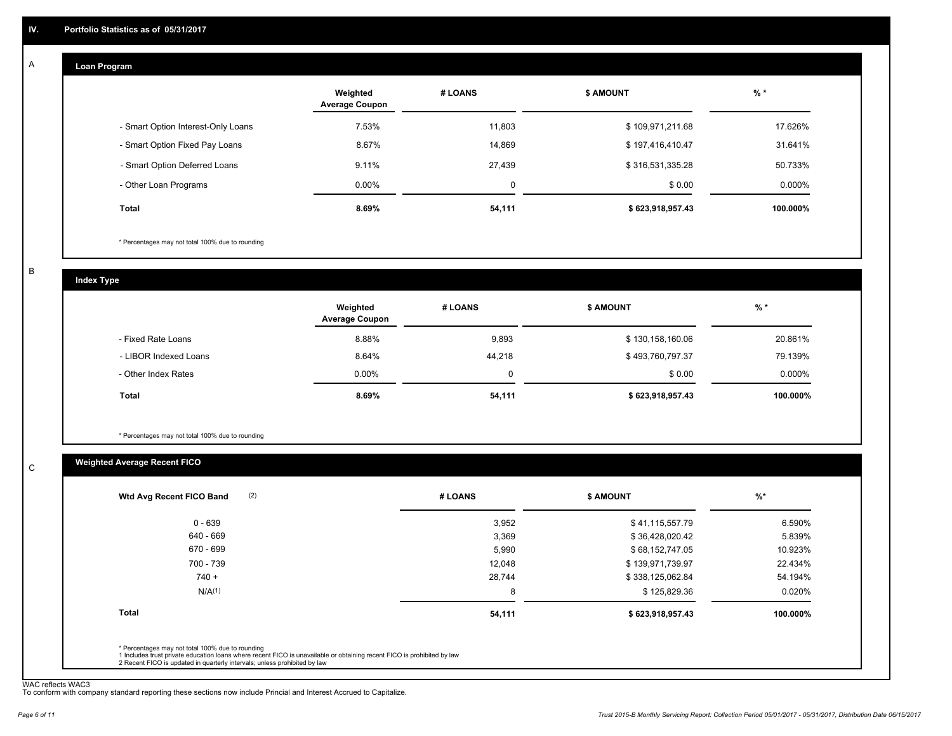#### **Loan Program**  A

|                                    | Weighted<br><b>Average Coupon</b> | # LOANS | <b>\$ AMOUNT</b> | % *       |
|------------------------------------|-----------------------------------|---------|------------------|-----------|
| - Smart Option Interest-Only Loans | 7.53%                             | 11,803  | \$109,971,211.68 | 17.626%   |
| - Smart Option Fixed Pay Loans     | 8.67%                             | 14,869  | \$197,416,410.47 | 31.641%   |
| - Smart Option Deferred Loans      | 9.11%                             | 27,439  | \$316,531,335.28 | 50.733%   |
| - Other Loan Programs              | $0.00\%$                          | 0       | \$0.00           | $0.000\%$ |
| <b>Total</b>                       | $8.69\%$                          | 54,111  | \$623,918,957.43 | 100.000%  |

\* Percentages may not total 100% due to rounding

B

C

**Index Type**

|                       | Weighted<br><b>Average Coupon</b> | # LOANS | <b>\$ AMOUNT</b> | $%$ *     |
|-----------------------|-----------------------------------|---------|------------------|-----------|
| - Fixed Rate Loans    | 8.88%                             | 9,893   | \$130,158,160.06 | 20.861%   |
| - LIBOR Indexed Loans | 8.64%                             | 44,218  | \$493,760,797.37 | 79.139%   |
| - Other Index Rates   | $0.00\%$                          |         | \$0.00           | $0.000\%$ |
| Total                 | $8.69\%$                          | 54,111  | \$623,918,957.43 | 100.000%  |

\* Percentages may not total 100% due to rounding

### **Weighted Average Recent FICO**

| 0 - 639            | 3,952  | \$41,115,557.79  | 6.590%    |
|--------------------|--------|------------------|-----------|
| 640 - 669          | 3,369  | \$36,428,020.42  | 5.839%    |
| 670 - 699          | 5,990  | \$68,152,747.05  | 10.923%   |
| 700 - 739          | 12,048 | \$139,971,739.97 | 22.434%   |
| $740 +$            | 28,744 | \$338,125,062.84 | 54.194%   |
| N/A <sup>(1)</sup> | 8      | \$125,829.36     | $0.020\%$ |
| <b>Total</b>       | 54,111 | \$623,918,957.43 | 100.000%  |

WAC reflects WAC3 To conform with company standard reporting these sections now include Princial and Interest Accrued to Capitalize.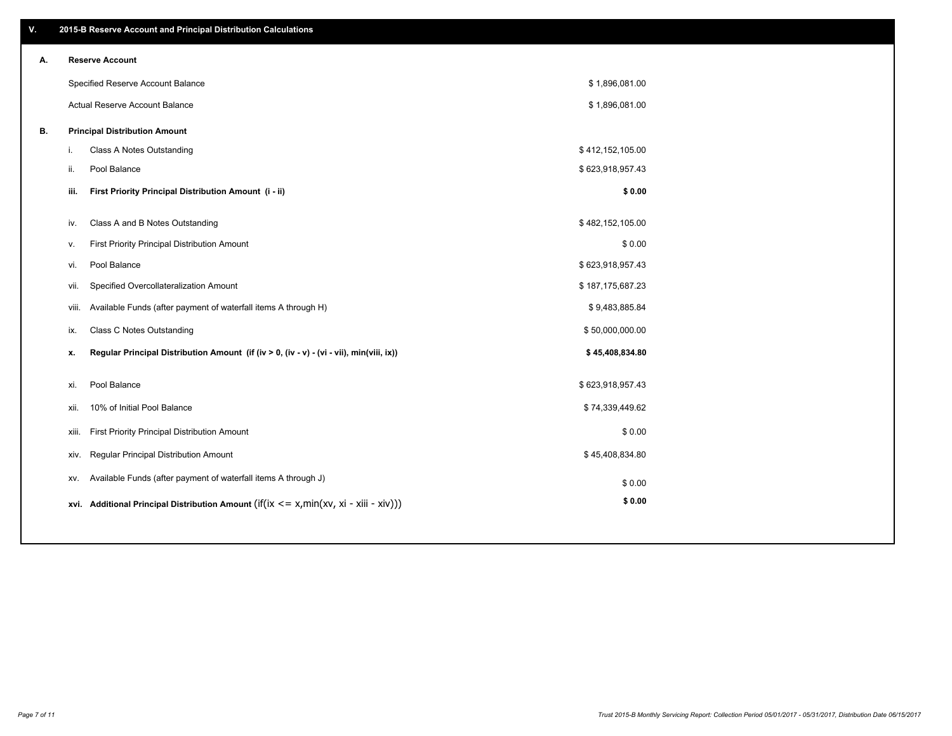| ۷. |     | 2015-B Reserve Account and Principal Distribution Calculations                             |                  |  |
|----|-----|--------------------------------------------------------------------------------------------|------------------|--|
| А. |     | <b>Reserve Account</b>                                                                     |                  |  |
|    |     | Specified Reserve Account Balance                                                          | \$1,896,081.00   |  |
|    |     | Actual Reserve Account Balance                                                             | \$1,896,081.00   |  |
| В. |     | <b>Principal Distribution Amount</b>                                                       |                  |  |
|    | i.  | Class A Notes Outstanding                                                                  | \$412,152,105.00 |  |
|    | ii. | Pool Balance                                                                               | \$623,918,957.43 |  |
|    |     | First Priority Principal Distribution Amount (i - ii)<br>iii.                              | \$0.00           |  |
|    |     |                                                                                            |                  |  |
|    |     | Class A and B Notes Outstanding<br>iv.                                                     | \$482,152,105.00 |  |
|    | v.  | First Priority Principal Distribution Amount                                               | \$0.00           |  |
|    |     | Pool Balance<br>vi.                                                                        | \$623,918,957.43 |  |
|    |     | Specified Overcollateralization Amount<br>vii.                                             | \$187,175,687.23 |  |
|    |     | Available Funds (after payment of waterfall items A through H)<br>viii.                    | \$9,483,885.84   |  |
|    | ix. | Class C Notes Outstanding                                                                  | \$50,000,000.00  |  |
|    | x.  | Regular Principal Distribution Amount (if (iv > 0, (iv - v) - (vi - vii), min(viii, ix))   | \$45,408,834.80  |  |
|    | xi. | Pool Balance                                                                               | \$623,918,957.43 |  |
|    |     | 10% of Initial Pool Balance<br>xii.                                                        | \$74,339,449.62  |  |
|    |     | First Priority Principal Distribution Amount<br>xiii.                                      | \$0.00           |  |
|    |     | <b>Regular Principal Distribution Amount</b><br>xiv.                                       | \$45,408,834.80  |  |
|    |     | Available Funds (after payment of waterfall items A through J)<br>XV.                      | \$0.00           |  |
|    |     | xvi. Additional Principal Distribution Amount (if(ix $\lt$ = x, min(xv, xi - xiii - xiv))) | \$0.00           |  |
|    |     |                                                                                            |                  |  |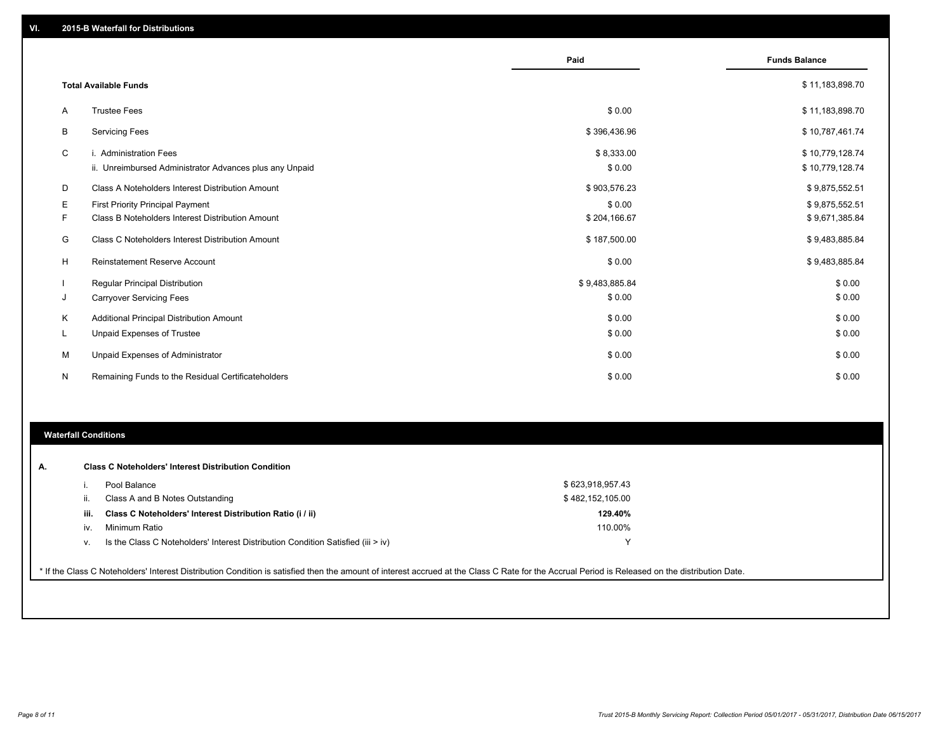|    |                                                         | Paid           | <b>Funds Balance</b> |
|----|---------------------------------------------------------|----------------|----------------------|
|    | <b>Total Available Funds</b>                            |                | \$11,183,898.70      |
| A  | <b>Trustee Fees</b>                                     | \$0.00         | \$11,183,898.70      |
| B  | <b>Servicing Fees</b>                                   | \$396,436.96   | \$10,787,461.74      |
| C  | i. Administration Fees                                  | \$8,333.00     | \$10,779,128.74      |
|    | ii. Unreimbursed Administrator Advances plus any Unpaid | \$0.00         | \$10,779,128.74      |
| D  | Class A Noteholders Interest Distribution Amount        | \$903,576.23   | \$9,875,552.51       |
| Е  | <b>First Priority Principal Payment</b>                 | \$0.00         | \$9,875,552.51       |
| F  | Class B Noteholders Interest Distribution Amount        | \$204,166.67   | \$9,671,385.84       |
| G  | Class C Noteholders Interest Distribution Amount        | \$187,500.00   | \$9,483,885.84       |
| н  | <b>Reinstatement Reserve Account</b>                    | \$0.00         | \$9,483,885.84       |
|    | <b>Regular Principal Distribution</b>                   | \$9,483,885.84 | \$0.00               |
| J  | <b>Carryover Servicing Fees</b>                         | \$0.00         | \$0.00               |
| K  | Additional Principal Distribution Amount                | \$0.00         | \$0.00               |
| ч. | <b>Unpaid Expenses of Trustee</b>                       | \$0.00         | \$0.00               |
| М  | Unpaid Expenses of Administrator                        | \$0.00         | \$0.00               |
| N  | Remaining Funds to the Residual Certificateholders      | \$0.00         | \$0.00               |

#### **Waterfall Conditions**

|      | Pool Balance                                                                     | \$623,918,957.43 |
|------|----------------------------------------------------------------------------------|------------------|
| Ш.   | Class A and B Notes Outstanding                                                  | \$482,152,105.00 |
| iii. | Class C Noteholders' Interest Distribution Ratio (i / ii)                        | 129.40%          |
| iv.  | Minimum Ratio                                                                    | 110.00%          |
| v.   | Is the Class C Noteholders' Interest Distribution Condition Satisfied (iii > iv) |                  |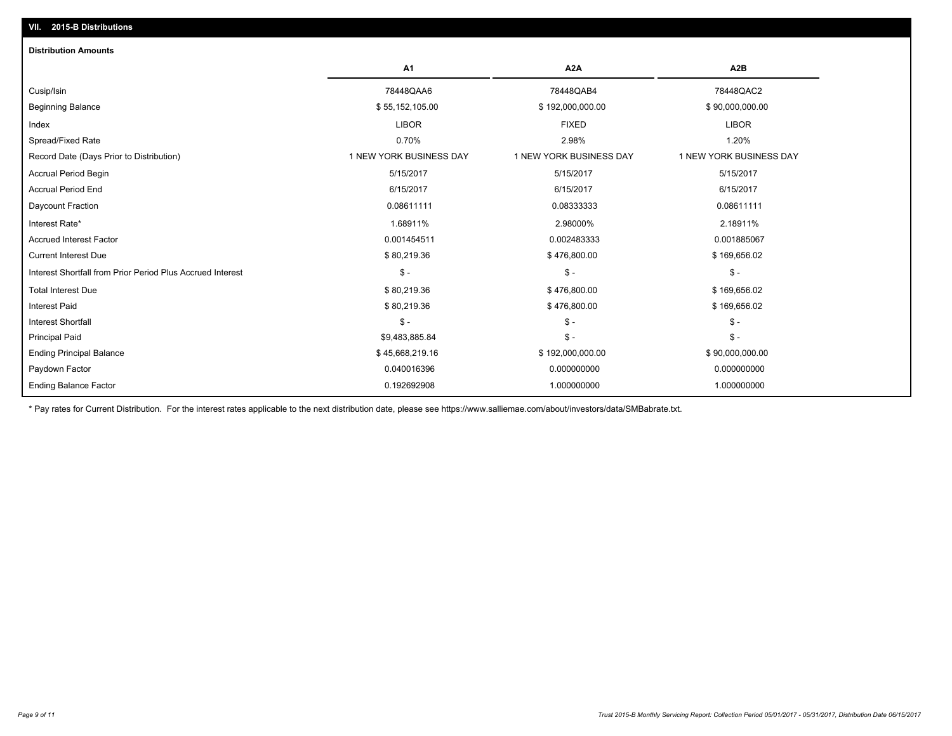| <b>Distribution Amounts</b>                                |                         |                         |                         |
|------------------------------------------------------------|-------------------------|-------------------------|-------------------------|
|                                                            | A1                      | A <sub>2</sub> A        | A <sub>2</sub> B        |
| Cusip/Isin                                                 | 78448QAA6               | 78448QAB4               | 78448QAC2               |
| <b>Beginning Balance</b>                                   | \$55,152,105.00         | \$192,000,000.00        | \$90,000,000.00         |
| Index                                                      | <b>LIBOR</b>            | <b>FIXED</b>            | <b>LIBOR</b>            |
| Spread/Fixed Rate                                          | 0.70%                   | 2.98%                   | 1.20%                   |
| Record Date (Days Prior to Distribution)                   | 1 NEW YORK BUSINESS DAY | 1 NEW YORK BUSINESS DAY | 1 NEW YORK BUSINESS DAY |
| <b>Accrual Period Begin</b>                                | 5/15/2017               | 5/15/2017               | 5/15/2017               |
| <b>Accrual Period End</b>                                  | 6/15/2017               | 6/15/2017               | 6/15/2017               |
| Daycount Fraction                                          | 0.08611111              | 0.08333333              | 0.08611111              |
| Interest Rate*                                             | 1.68911%                | 2.98000%                | 2.18911%                |
| <b>Accrued Interest Factor</b>                             | 0.001454511             | 0.002483333             | 0.001885067             |
| <b>Current Interest Due</b>                                | \$80,219.36             | \$476,800.00            | \$169,656.02            |
| Interest Shortfall from Prior Period Plus Accrued Interest | $\mathsf{\$}$ -         | $\mathsf{\$}$ -         | $S -$                   |
| <b>Total Interest Due</b>                                  | \$80,219.36             | \$476,800.00            | \$169,656.02            |
| <b>Interest Paid</b>                                       | \$80,219.36             | \$476,800.00            | \$169,656.02            |
| <b>Interest Shortfall</b>                                  | $\mathsf{\$}$ -         | $\mathsf{\$}$ -         | $S -$                   |
| <b>Principal Paid</b>                                      | \$9,483,885.84          | $\mathsf{\$}$ -         | $S -$                   |
| <b>Ending Principal Balance</b>                            | \$45,668,219.16         | \$192,000,000.00        | \$90,000,000.00         |
| Paydown Factor                                             | 0.040016396             | 0.000000000             | 0.000000000             |
| <b>Ending Balance Factor</b>                               | 0.192692908             | 1.000000000             | 1.000000000             |

\* Pay rates for Current Distribution. For the interest rates applicable to the next distribution date, please see https://www.salliemae.com/about/investors/data/SMBabrate.txt.

**VII. 2015-B Distributions**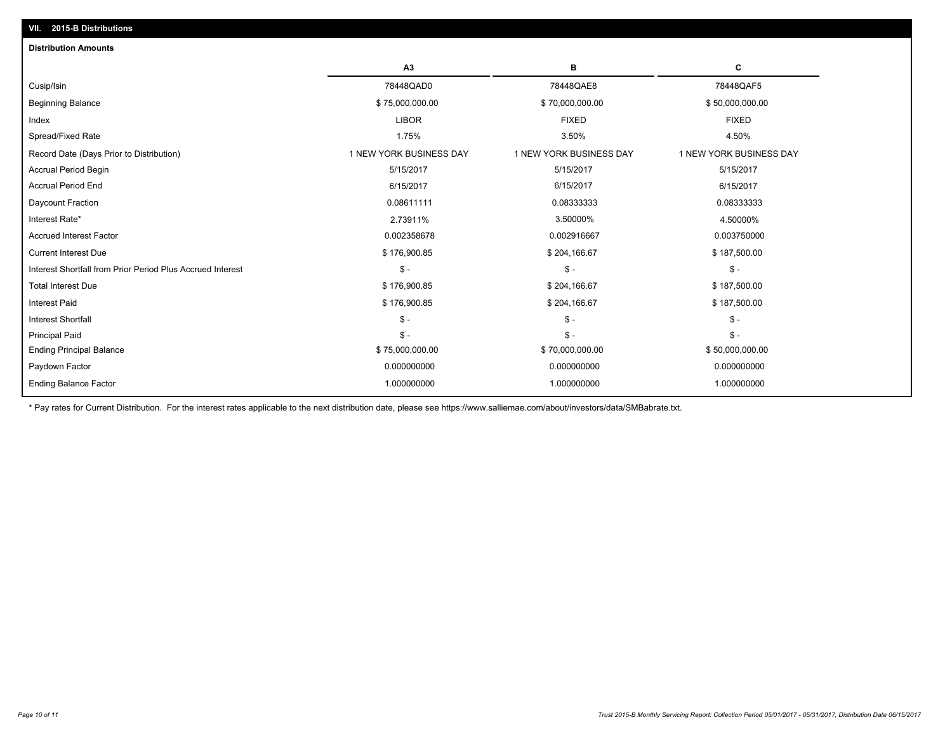| A <sub>3</sub>          | в                       | C                       |
|-------------------------|-------------------------|-------------------------|
| 78448QAD0               | 78448QAE8               | 78448QAF5               |
| \$75,000,000.00         | \$70,000,000.00         | \$50,000,000.00         |
| <b>LIBOR</b>            | <b>FIXED</b>            | <b>FIXED</b>            |
| 1.75%                   | 3.50%                   | 4.50%                   |
| 1 NEW YORK BUSINESS DAY | 1 NEW YORK BUSINESS DAY | 1 NEW YORK BUSINESS DAY |
| 5/15/2017               | 5/15/2017               | 5/15/2017               |
| 6/15/2017               | 6/15/2017               | 6/15/2017               |
| 0.08611111              | 0.08333333              | 0.08333333              |
| 2.73911%                | 3.50000%                | 4.50000%                |
| 0.002358678             | 0.002916667             | 0.003750000             |
| \$176,900.85            | \$204,166.67            | \$187,500.00            |
| $\mathsf S$ -           | $\frac{2}{3}$ -         | $$ -$                   |
| \$176,900.85            | \$204,166.67            | \$187,500.00            |
| \$176,900.85            | \$204,166.67            | \$187,500.00            |
| $\mathsf{\$}$ -         | $S -$                   | $S -$                   |
| $\mathsf{\$}$ -         | $S -$                   | $S -$                   |
| \$75,000,000.00         | \$70,000,000.00         | \$50,000,000.00         |
| 0.000000000             | 0.000000000             | 0.000000000             |
| 1.000000000             | 1.000000000             | 1.000000000             |
|                         |                         |                         |

\* Pay rates for Current Distribution. For the interest rates applicable to the next distribution date, please see https://www.salliemae.com/about/investors/data/SMBabrate.txt.

**VII. 2015-B Distributions**